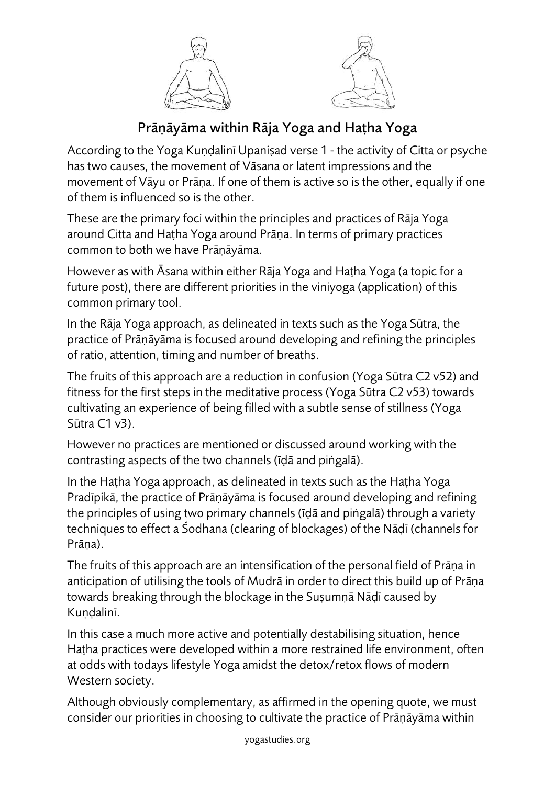



## Prāṇāyāma within Rāja Yoga and Haṭha Yoga

According to the Yoga Kuṇḍalinī Upaniṣad verse 1 - the activity of Citta or psyche has two causes, the movement of Vāsana or latent impressions and the movement of Vāyu or Prāṇa. If one of them is active so is the other, equally if one of them is influenced so is the other.

These are the primary foci within the principles and practices of Rāja Yoga around Citta and Haṭha Yoga around Prāṇa. In terms of primary practices common to both we have Prāṇāyāma.

However as with Āsana within either Rāja Yoga and Haṭha Yoga (a topic for a future post), there are different priorities in the viniyoga (application) of this common primary tool.

In the Rāja Yoga approach, as delineated in texts such as the Yoga Sūtra, the practice of Prāṇāyāma is focused around developing and refining the principles of ratio, attention, timing and number of breaths.

The fruits of this approach are a reduction in confusion (Yoga Sūtra C2 v52) and fitness for the first steps in the meditative process (Yoga Sūtra C2 v53) towards cultivating an experience of being filled with a subtle sense of stillness (Yoga Sūtra C1 v3).

However no practices are mentioned or discussed around working with the contrasting aspects of the two channels (īḍā and piṅgalā).

In the Haṭha Yoga approach, as delineated in texts such as the Haṭha Yoga Pradīpikā, the practice of Prāṇāyāma is focused around developing and refining the principles of using two primary channels (īḍā and piṅgalā) through a variety techniques to effect a Śodhana (clearing of blockages) of the Nāḍī (channels for Prāna).

The fruits of this approach are an intensification of the personal field of Prāṇa in anticipation of utilising the tools of Mudrā in order to direct this build up of Prāṇa towards breaking through the blockage in the Suṣumṇā Nāḍī caused by Kundalinī.

In this case a much more active and potentially destabilising situation, hence Haṭha practices were developed within a more restrained life environment, often at odds with todays lifestyle Yoga amidst the detox/retox flows of modern Western society.

Although obviously complementary, as affirmed in the opening quote, we must consider our priorities in choosing to cultivate the practice of Prāṇāyāma within